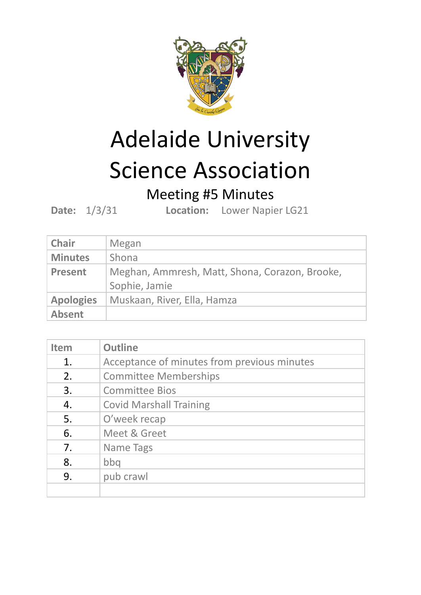

## Adelaide University Science Association

## Meeting #5 Minutes

**Date:** 1/3/31 **Location:** Lower Napier LG21

| <b>Chair</b>     | Megan                                                           |
|------------------|-----------------------------------------------------------------|
| <b>Minutes</b>   | Shona                                                           |
| <b>Present</b>   | Meghan, Ammresh, Matt, Shona, Corazon, Brooke,<br>Sophie, Jamie |
| <b>Apologies</b> | Muskaan, River, Ella, Hamza                                     |
| <b>Absent</b>    |                                                                 |

| <b>Item</b> | <b>Outline</b>                              |
|-------------|---------------------------------------------|
| 1.          | Acceptance of minutes from previous minutes |
| 2.          | <b>Committee Memberships</b>                |
| 3.          | <b>Committee Bios</b>                       |
| 4.          | <b>Covid Marshall Training</b>              |
| 5.          | O'week recap                                |
| 6.          | Meet & Greet                                |
| 7.          | Name Tags                                   |
| 8.          | bbq                                         |
| 9.          | pub crawl                                   |
|             |                                             |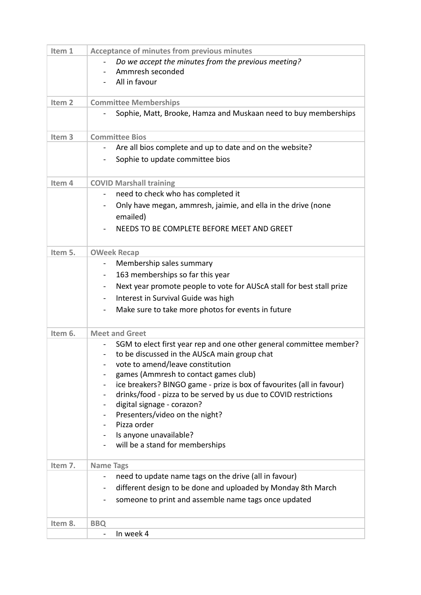| Item 1            | <b>Acceptance of minutes from previous minutes</b>                                      |
|-------------------|-----------------------------------------------------------------------------------------|
|                   | Do we accept the minutes from the previous meeting?                                     |
|                   | Ammresh seconded<br>$\sim$                                                              |
|                   | All in favour                                                                           |
| Item <sub>2</sub> | <b>Committee Memberships</b>                                                            |
|                   | Sophie, Matt, Brooke, Hamza and Muskaan need to buy memberships                         |
|                   |                                                                                         |
| Item <sub>3</sub> | <b>Committee Bios</b>                                                                   |
|                   | Are all bios complete and up to date and on the website?<br>$\blacksquare$              |
|                   | Sophie to update committee bios                                                         |
|                   |                                                                                         |
| Item 4            | <b>COVID Marshall training</b>                                                          |
|                   | need to check who has completed it<br>$\blacksquare$                                    |
|                   | Only have megan, ammresh, jaimie, and ella in the drive (none                           |
|                   | emailed)                                                                                |
|                   | NEEDS TO BE COMPLETE BEFORE MEET AND GREET                                              |
| Item 5.           | <b>OWeek Recap</b>                                                                      |
|                   | Membership sales summary<br>$\blacksquare$                                              |
|                   | 163 memberships so far this year<br>$\blacksquare$                                      |
|                   | Next year promote people to vote for AUScA stall for best stall prize<br>$\blacksquare$ |
|                   | Interest in Survival Guide was high<br>$\blacksquare$                                   |
|                   | Make sure to take more photos for events in future<br>$\blacksquare$                    |
|                   |                                                                                         |
| Item 6.           | <b>Meet and Greet</b>                                                                   |
|                   | SGM to elect first year rep and one other general committee member?                     |
|                   | to be discussed in the AUScA main group chat                                            |
|                   | vote to amend/leave constitution<br>games (Ammresh to contact games club)               |
|                   | ice breakers? BINGO game - prize is box of favourites (all in favour)                   |
|                   | drinks/food - pizza to be served by us due to COVID restrictions                        |
|                   | digital signage - corazon?                                                              |
|                   | Presenters/video on the night?                                                          |
|                   | Pizza order                                                                             |
|                   | Is anyone unavailable?                                                                  |
|                   | will be a stand for memberships                                                         |
| Item 7.           | <b>Name Tags</b>                                                                        |
|                   | need to update name tags on the drive (all in favour)                                   |
|                   | different design to be done and uploaded by Monday 8th March<br>$\blacksquare$          |
|                   | someone to print and assemble name tags once updated                                    |
|                   |                                                                                         |
| Item 8.           | <b>BBQ</b><br>In week 4                                                                 |
|                   | $\blacksquare$                                                                          |